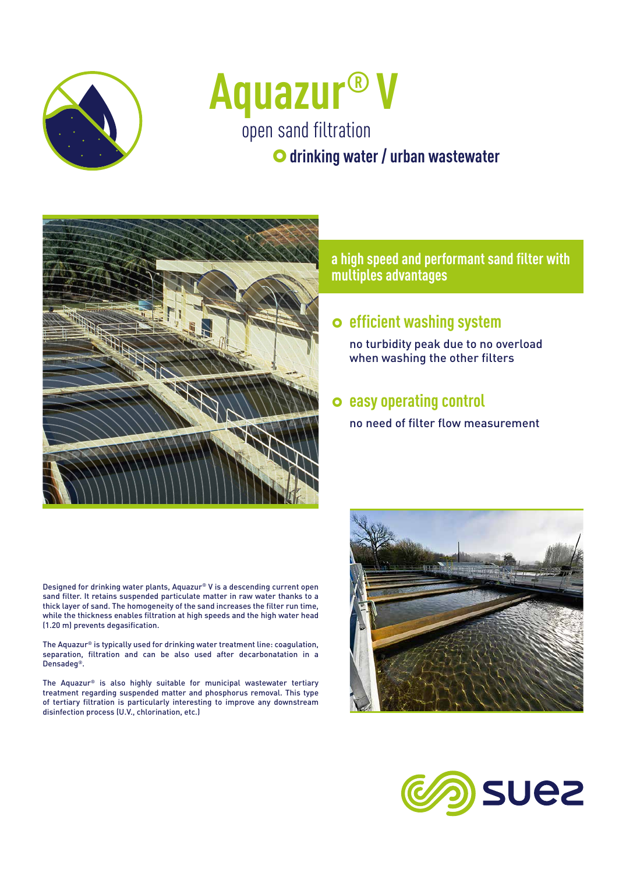

# open sand filtration **Aquazur® V**

 $\bullet$  **drinking water / urban wastewater** 



**a high speed and performant sand filter with multiples advantages**

## } **efficient washing system**

no turbidity peak due to no overload when washing the other filters

### } **easy operating control**

no need of filter flow measurement

Designed for drinking water plants, Aquazur® V is a descending current open sand filter. It retains suspended particulate matter in raw water thanks to a thick layer of sand. The homogeneity of the sand increases the filter run time, while the thickness enables filtration at high speeds and the high water head (1.20 m) prevents degasification.

The Aquazur® is typically used for drinking water treatment line: coagulation, separation, filtration and can be also used after decarbonatation in a Densadeg®.

The Aquazur® is also highly suitable for municipal wastewater tertiary treatment regarding suspended matter and phosphorus removal. This type of tertiary filtration is particularly interesting to improve any downstream disinfection process (U.V., chlorination, etc.)